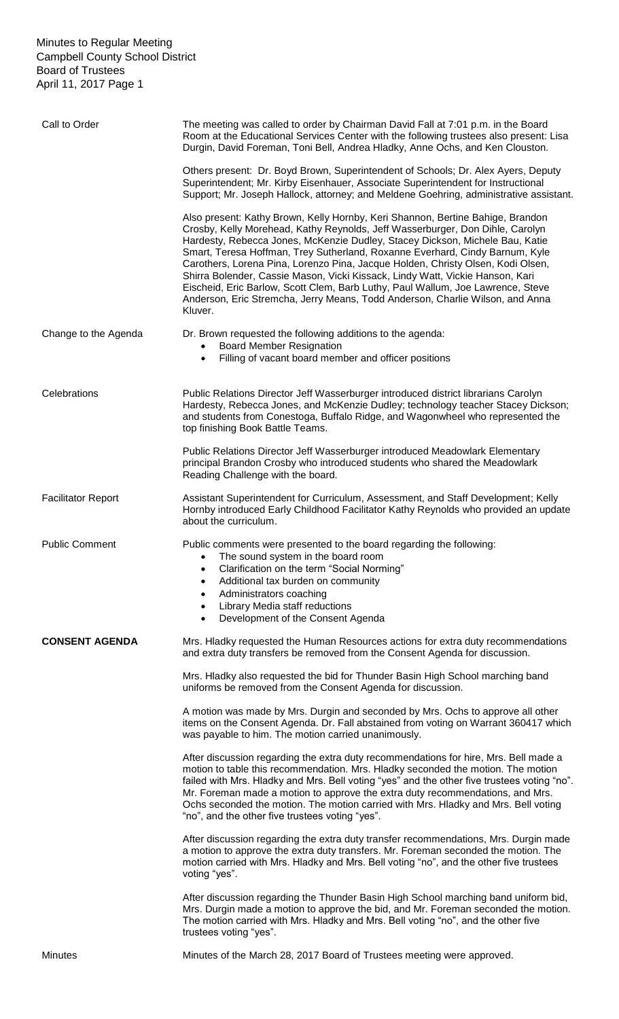| Call to Order             | The meeting was called to order by Chairman David Fall at 7:01 p.m. in the Board<br>Room at the Educational Services Center with the following trustees also present: Lisa<br>Durgin, David Foreman, Toni Bell, Andrea Hladky, Anne Ochs, and Ken Clouston.                                                                                                                                                                                                                                                                                                                                                                                                                        |
|---------------------------|------------------------------------------------------------------------------------------------------------------------------------------------------------------------------------------------------------------------------------------------------------------------------------------------------------------------------------------------------------------------------------------------------------------------------------------------------------------------------------------------------------------------------------------------------------------------------------------------------------------------------------------------------------------------------------|
|                           | Others present: Dr. Boyd Brown, Superintendent of Schools; Dr. Alex Ayers, Deputy<br>Superintendent; Mr. Kirby Eisenhauer, Associate Superintendent for Instructional<br>Support; Mr. Joseph Hallock, attorney; and Meldene Goehring, administrative assistant.                                                                                                                                                                                                                                                                                                                                                                                                                    |
|                           | Also present: Kathy Brown, Kelly Hornby, Keri Shannon, Bertine Bahige, Brandon<br>Crosby, Kelly Morehead, Kathy Reynolds, Jeff Wasserburger, Don Dihle, Carolyn<br>Hardesty, Rebecca Jones, McKenzie Dudley, Stacey Dickson, Michele Bau, Katie<br>Smart, Teresa Hoffman, Trey Sutherland, Roxanne Everhard, Cindy Barnum, Kyle<br>Carothers, Lorena Pina, Lorenzo Pina, Jacque Holden, Christy Olsen, Kodi Olsen,<br>Shirra Bolender, Cassie Mason, Vicki Kissack, Lindy Watt, Vickie Hanson, Kari<br>Eischeid, Eric Barlow, Scott Clem, Barb Luthy, Paul Wallum, Joe Lawrence, Steve<br>Anderson, Eric Stremcha, Jerry Means, Todd Anderson, Charlie Wilson, and Anna<br>Kluver. |
| Change to the Agenda      | Dr. Brown requested the following additions to the agenda:<br><b>Board Member Resignation</b><br>Filling of vacant board member and officer positions<br>$\bullet$                                                                                                                                                                                                                                                                                                                                                                                                                                                                                                                 |
| Celebrations              | Public Relations Director Jeff Wasserburger introduced district librarians Carolyn<br>Hardesty, Rebecca Jones, and McKenzie Dudley; technology teacher Stacey Dickson;<br>and students from Conestoga, Buffalo Ridge, and Wagonwheel who represented the<br>top finishing Book Battle Teams.                                                                                                                                                                                                                                                                                                                                                                                       |
|                           | Public Relations Director Jeff Wasserburger introduced Meadowlark Elementary<br>principal Brandon Crosby who introduced students who shared the Meadowlark<br>Reading Challenge with the board.                                                                                                                                                                                                                                                                                                                                                                                                                                                                                    |
| <b>Facilitator Report</b> | Assistant Superintendent for Curriculum, Assessment, and Staff Development; Kelly<br>Hornby introduced Early Childhood Facilitator Kathy Reynolds who provided an update<br>about the curriculum.                                                                                                                                                                                                                                                                                                                                                                                                                                                                                  |
| <b>Public Comment</b>     | Public comments were presented to the board regarding the following:<br>The sound system in the board room<br>$\bullet$<br>Clarification on the term "Social Norming"<br>Additional tax burden on community<br>Administrators coaching<br>٠<br>Library Media staff reductions<br>٠<br>Development of the Consent Agenda<br>$\bullet$                                                                                                                                                                                                                                                                                                                                               |
| <b>CONSENT AGENDA</b>     | Mrs. Hladky requested the Human Resources actions for extra duty recommendations<br>and extra duty transfers be removed from the Consent Agenda for discussion.                                                                                                                                                                                                                                                                                                                                                                                                                                                                                                                    |
|                           | Mrs. Hladky also requested the bid for Thunder Basin High School marching band<br>uniforms be removed from the Consent Agenda for discussion.                                                                                                                                                                                                                                                                                                                                                                                                                                                                                                                                      |
|                           | A motion was made by Mrs. Durgin and seconded by Mrs. Ochs to approve all other<br>items on the Consent Agenda. Dr. Fall abstained from voting on Warrant 360417 which<br>was payable to him. The motion carried unanimously.                                                                                                                                                                                                                                                                                                                                                                                                                                                      |
|                           | After discussion regarding the extra duty recommendations for hire, Mrs. Bell made a<br>motion to table this recommendation. Mrs. Hladky seconded the motion. The motion<br>failed with Mrs. Hladky and Mrs. Bell voting "yes" and the other five trustees voting "no".<br>Mr. Foreman made a motion to approve the extra duty recommendations, and Mrs.<br>Ochs seconded the motion. The motion carried with Mrs. Hladky and Mrs. Bell voting<br>"no", and the other five trustees voting "yes".                                                                                                                                                                                  |
|                           | After discussion regarding the extra duty transfer recommendations, Mrs. Durgin made<br>a motion to approve the extra duty transfers. Mr. Foreman seconded the motion. The<br>motion carried with Mrs. Hladky and Mrs. Bell voting "no", and the other five trustees<br>voting "yes".                                                                                                                                                                                                                                                                                                                                                                                              |
|                           | After discussion regarding the Thunder Basin High School marching band uniform bid,<br>Mrs. Durgin made a motion to approve the bid, and Mr. Foreman seconded the motion.<br>The motion carried with Mrs. Hladky and Mrs. Bell voting "no", and the other five<br>trustees voting "yes".                                                                                                                                                                                                                                                                                                                                                                                           |
| <b>Minutes</b>            | Minutes of the March 28, 2017 Board of Trustees meeting were approved.                                                                                                                                                                                                                                                                                                                                                                                                                                                                                                                                                                                                             |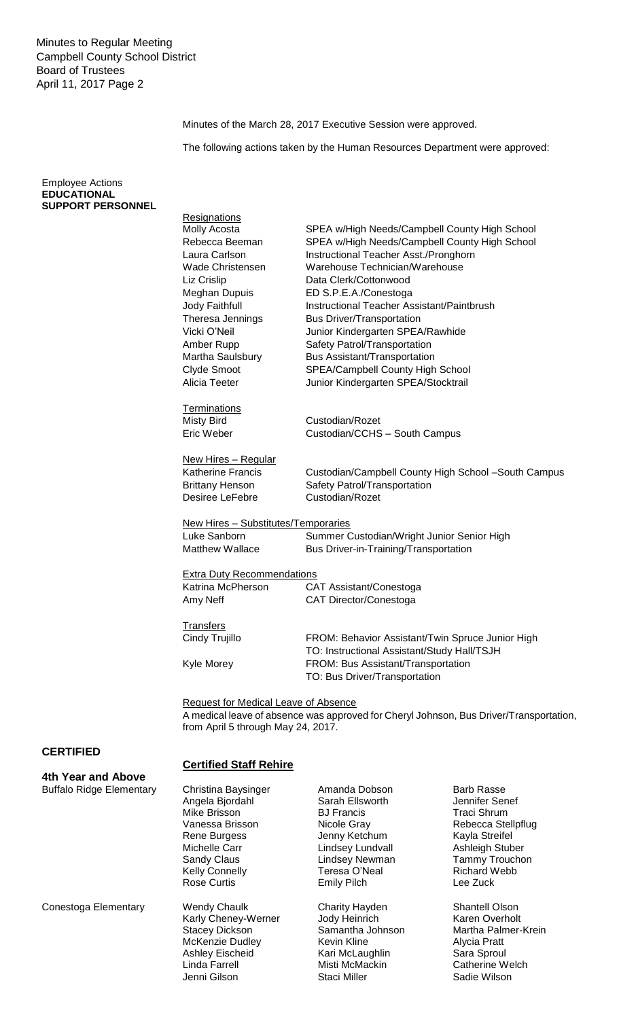Minutes of the March 28, 2017 Executive Session were approved.

The following actions taken by the Human Resources Department were approved:

Employee Actions **EDUCATIONAL SUPPORT PERSONNEL**

| <b>Resignations</b><br>Molly Acosta<br>Rebecca Beeman<br>Laura Carlson<br>Wade Christensen<br>Liz Crislip<br>Meghan Dupuis<br>Jody Faithfull<br>Theresa Jennings<br>Vicki O'Neil | SPEA w/High Needs/Campbell County High School<br>SPEA w/High Needs/Campbell County High School<br>Instructional Teacher Asst./Pronghorn<br>Warehouse Technician/Warehouse<br>Data Clerk/Cottonwood<br>ED S.P.E.A./Conestoga<br>Instructional Teacher Assistant/Paintbrush<br><b>Bus Driver/Transportation</b><br>Junior Kindergarten SPEA/Rawhide |                    |
|----------------------------------------------------------------------------------------------------------------------------------------------------------------------------------|---------------------------------------------------------------------------------------------------------------------------------------------------------------------------------------------------------------------------------------------------------------------------------------------------------------------------------------------------|--------------------|
| Amber Rupp                                                                                                                                                                       | Safety Patrol/Transportation                                                                                                                                                                                                                                                                                                                      |                    |
| Martha Saulsbury                                                                                                                                                                 | Bus Assistant/Transportation                                                                                                                                                                                                                                                                                                                      |                    |
| Clyde Smoot                                                                                                                                                                      | SPEA/Campbell County High School                                                                                                                                                                                                                                                                                                                  |                    |
| Alicia Teeter                                                                                                                                                                    | Junior Kindergarten SPEA/Stocktrail                                                                                                                                                                                                                                                                                                               |                    |
| <b>Terminations</b>                                                                                                                                                              |                                                                                                                                                                                                                                                                                                                                                   |                    |
| <b>Misty Bird</b>                                                                                                                                                                | Custodian/Rozet                                                                                                                                                                                                                                                                                                                                   |                    |
| Eric Weber                                                                                                                                                                       | Custodian/CCHS - South Campus                                                                                                                                                                                                                                                                                                                     |                    |
|                                                                                                                                                                                  |                                                                                                                                                                                                                                                                                                                                                   |                    |
| New Hires - Regular                                                                                                                                                              |                                                                                                                                                                                                                                                                                                                                                   |                    |
| <b>Katherine Francis</b>                                                                                                                                                         | Custodian/Campbell County High School -South Campus                                                                                                                                                                                                                                                                                               |                    |
| <b>Brittany Henson</b>                                                                                                                                                           | Safety Patrol/Transportation                                                                                                                                                                                                                                                                                                                      |                    |
| Desiree LeFebre                                                                                                                                                                  | Custodian/Rozet                                                                                                                                                                                                                                                                                                                                   |                    |
| New Hires - Substitutes/Temporaries<br>Luke Sanborn<br><b>Matthew Wallace</b>                                                                                                    | Summer Custodian/Wright Junior Senior High<br>Bus Driver-in-Training/Transportation                                                                                                                                                                                                                                                               |                    |
| <b>Extra Duty Recommendations</b>                                                                                                                                                |                                                                                                                                                                                                                                                                                                                                                   |                    |
| Katrina McPherson                                                                                                                                                                | CAT Assistant/Conestoga                                                                                                                                                                                                                                                                                                                           |                    |
| Amy Neff                                                                                                                                                                         | CAT Director/Conestoga                                                                                                                                                                                                                                                                                                                            |                    |
|                                                                                                                                                                                  |                                                                                                                                                                                                                                                                                                                                                   |                    |
| <b>Transfers</b><br>Cindy Trujillo                                                                                                                                               | FROM: Behavior Assistant/Twin Spruce Junior High<br>TO: Instructional Assistant/Study Hall/TSJH                                                                                                                                                                                                                                                   |                    |
| Kyle Morey                                                                                                                                                                       | FROM: Bus Assistant/Transportation<br>TO: Bus Driver/Transportation                                                                                                                                                                                                                                                                               |                    |
| Request for Medical Leave of Absence<br>from April 5 through May 24, 2017.                                                                                                       | A medical leave of absence was approved for Cheryl Johnson, Bus Driver/Transportation,                                                                                                                                                                                                                                                            |                    |
| <b>Certified Staff Rehire</b>                                                                                                                                                    |                                                                                                                                                                                                                                                                                                                                                   |                    |
| Christina Baysinger                                                                                                                                                              | Amanda Dobson                                                                                                                                                                                                                                                                                                                                     | <b>Barb Rasse</b>  |
| Angela Bjordahl                                                                                                                                                                  | Sarah Ellsworth                                                                                                                                                                                                                                                                                                                                   | Jennifer Senef     |
| Mike Brisson                                                                                                                                                                     | <b>BJ</b> Francis                                                                                                                                                                                                                                                                                                                                 | <b>Traci Shrum</b> |
| Vanessa Brisson                                                                                                                                                                  | Nicole Gray                                                                                                                                                                                                                                                                                                                                       | Rebecca Stellpflug |

Conestoga Elementary Wendy Chaulk

**4th Year and Above** Buffalo Ridge Elementary

**CERTIFIED**

Rene Burgess Michelle Carr Sandy Claus Kelly Connelly Rose Curtis

Karly Cheney-Werner Stacey Dickson McKenzie Dudley Ashley Eischeid Linda Farrell Jenni Gilson

Jenny Ketchum Lindsey Lundvall Lindsey Newman Teresa O'Neal Emily Pilch

Charity Hayden Jody Heinrich Samantha Johnson Kevin Kline Kari McLaughlin Misti McMackin Staci Miller

Kayla Streifel Ashleigh Stuber Tammy Trouchon Richard Webb Lee Zuck

Shantell Olson Karen Overholt Martha Palmer-Krein Alycia Pratt Sara Sproul Catherine Welch Sadie Wilson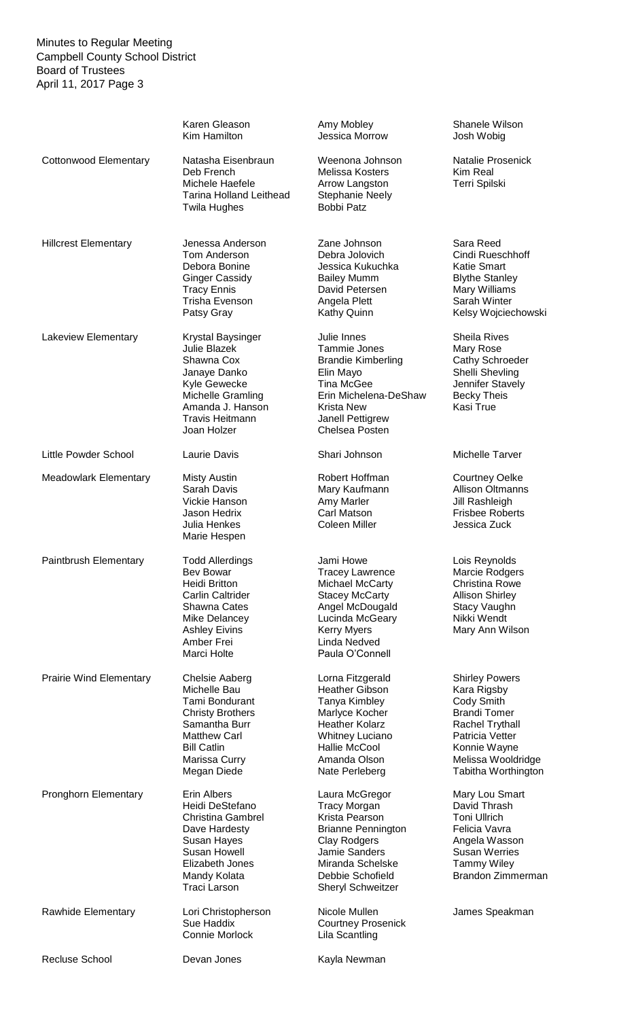|                                | Karen Gleason<br>Kim Hamilton                                                                                                                                                | Amy Mobley<br>Jessica Morrow                                                                                                                                                                 | Shanele Wilson<br>Josh Wobig                                                                                                                                                 |
|--------------------------------|------------------------------------------------------------------------------------------------------------------------------------------------------------------------------|----------------------------------------------------------------------------------------------------------------------------------------------------------------------------------------------|------------------------------------------------------------------------------------------------------------------------------------------------------------------------------|
| <b>Cottonwood Elementary</b>   | Natasha Eisenbraun<br>Deb French<br>Michele Haefele<br><b>Tarina Holland Leithead</b><br><b>Twila Hughes</b>                                                                 | Weenona Johnson<br>Melissa Kosters<br>Arrow Langston<br><b>Stephanie Neely</b><br><b>Bobbi Patz</b>                                                                                          | Natalie Prosenick<br><b>Kim Real</b><br>Terri Spilski                                                                                                                        |
| <b>Hillcrest Elementary</b>    | Jenessa Anderson<br>Tom Anderson<br>Debora Bonine<br><b>Ginger Cassidy</b><br><b>Tracy Ennis</b><br>Trisha Evenson<br>Patsy Gray                                             | Zane Johnson<br>Debra Jolovich<br>Jessica Kukuchka<br><b>Bailey Mumm</b><br>David Petersen<br>Angela Plett<br>Kathy Quinn                                                                    | Sara Reed<br>Cindi Rueschhoff<br>Katie Smart<br><b>Blythe Stanley</b><br>Mary Williams<br>Sarah Winter<br>Kelsy Wojciechowski                                                |
| Lakeview Elementary            | Krystal Baysinger<br>Julie Blazek<br>Shawna Cox<br>Janaye Danko<br>Kyle Gewecke<br>Michelle Gramling<br>Amanda J. Hanson<br><b>Travis Heitmann</b><br>Joan Holzer            | Julie Innes<br><b>Tammie Jones</b><br><b>Brandie Kimberling</b><br>Elin Mayo<br><b>Tina McGee</b><br>Erin Michelena-DeShaw<br><b>Krista New</b><br>Janell Pettigrew<br><b>Chelsea Posten</b> | <b>Sheila Rives</b><br>Mary Rose<br>Cathy Schroeder<br>Shelli Shevling<br>Jennifer Stavely<br><b>Becky Theis</b><br>Kasi True                                                |
| Little Powder School           | Laurie Davis                                                                                                                                                                 | Shari Johnson                                                                                                                                                                                | Michelle Tarver                                                                                                                                                              |
| <b>Meadowlark Elementary</b>   | <b>Misty Austin</b><br>Sarah Davis<br>Vickie Hanson<br>Jason Hedrix<br>Julia Henkes<br>Marie Hespen                                                                          | Robert Hoffman<br>Mary Kaufmann<br>Amy Marler<br>Carl Matson<br><b>Coleen Miller</b>                                                                                                         | <b>Courtney Oelke</b><br><b>Allison Oltmanns</b><br>Jill Rashleigh<br><b>Frisbee Roberts</b><br>Jessica Zuck                                                                 |
| Paintbrush Elementary          | <b>Todd Allerdings</b><br>Bev Bowar<br><b>Heidi Britton</b><br><b>Carlin Caltrider</b><br>Shawna Cates<br>Mike Delancey<br><b>Ashley Eivins</b><br>Amber Frei<br>Marci Holte | Jami Howe<br>Tracey Lawrence<br><b>Michael McCarty</b><br><b>Stacey McCarty</b><br>Angel McDougald<br>Lucinda McGeary<br><b>Kerry Myers</b><br>Linda Nedved<br>Paula O'Connell               | Lois Reynolds<br>Marcie Rodgers<br><b>Christina Rowe</b><br><b>Allison Shirley</b><br>Stacy Vaughn<br>Nikki Wendt<br>Mary Ann Wilson                                         |
| <b>Prairie Wind Elementary</b> | Chelsie Aaberg<br>Michelle Bau<br>Tami Bondurant<br><b>Christy Brothers</b><br>Samantha Burr<br><b>Matthew Carl</b><br><b>Bill Catlin</b><br>Marissa Curry<br>Megan Diede    | Lorna Fitzgerald<br><b>Heather Gibson</b><br>Tanya Kimbley<br>Marlyce Kocher<br><b>Heather Kolarz</b><br><b>Whitney Luciano</b><br>Hallie McCool<br>Amanda Olson<br>Nate Perleberg           | <b>Shirley Powers</b><br>Kara Rigsby<br>Cody Smith<br><b>Brandi Tomer</b><br>Rachel Trythall<br>Patricia Vetter<br>Konnie Wayne<br>Melissa Wooldridge<br>Tabitha Worthington |
| <b>Pronghorn Elementary</b>    | Erin Albers<br>Heidi DeStefano<br><b>Christina Gambrel</b><br>Dave Hardesty<br>Susan Hayes<br><b>Susan Howell</b><br>Elizabeth Jones<br>Mandy Kolata<br><b>Traci Larson</b>  | Laura McGregor<br><b>Tracy Morgan</b><br>Krista Pearson<br><b>Brianne Pennington</b><br>Clay Rodgers<br>Jamie Sanders<br>Miranda Schelske<br>Debbie Schofield<br><b>Sheryl Schweitzer</b>    | Mary Lou Smart<br>David Thrash<br><b>Toni Ullrich</b><br>Felicia Vavra<br>Angela Wasson<br><b>Susan Werries</b><br><b>Tammy Wiley</b><br><b>Brandon Zimmerman</b>            |
| Rawhide Elementary             | Lori Christopherson<br>Sue Haddix<br>Connie Morlock                                                                                                                          | Nicole Mullen<br><b>Courtney Prosenick</b><br>Lila Scantling                                                                                                                                 | James Speakman                                                                                                                                                               |
| <b>Recluse School</b>          | Devan Jones                                                                                                                                                                  | Kayla Newman                                                                                                                                                                                 |                                                                                                                                                                              |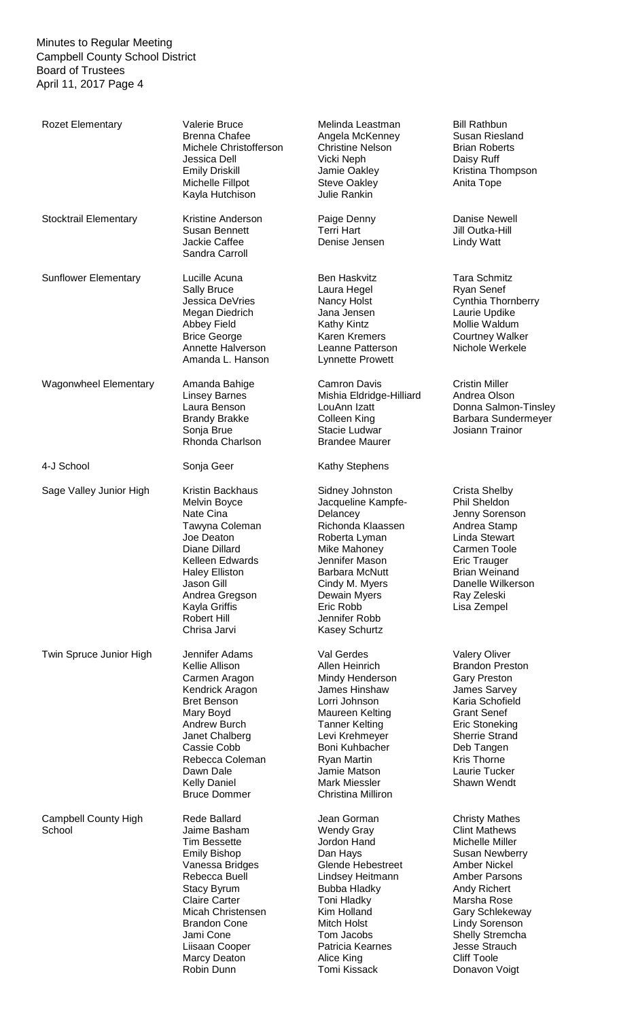| <b>Rozet Elementary</b>               | <b>Valerie Bruce</b><br><b>Brenna Chafee</b><br>Michele Christofferson<br>Jessica Dell<br><b>Emily Driskill</b><br>Michelle Fillpot<br>Kayla Hutchison                                                                                                                | Melinda Leastman<br>Angela McKenney<br><b>Christine Nelson</b><br>Vicki Neph<br>Jamie Oakley<br><b>Steve Oakley</b><br>Julie Rankin                                                                                                                    | <b>Bill Rathbun</b><br>Susan Riesland<br><b>Brian Roberts</b><br>Daisy Ruff<br>Kristina Thompson<br>Anita Tope                                                                                                                                                                                        |
|---------------------------------------|-----------------------------------------------------------------------------------------------------------------------------------------------------------------------------------------------------------------------------------------------------------------------|--------------------------------------------------------------------------------------------------------------------------------------------------------------------------------------------------------------------------------------------------------|-------------------------------------------------------------------------------------------------------------------------------------------------------------------------------------------------------------------------------------------------------------------------------------------------------|
| Stocktrail Elementary                 | Kristine Anderson<br>Susan Bennett<br>Jackie Caffee<br>Sandra Carroll                                                                                                                                                                                                 | Paige Denny<br><b>Terri Hart</b><br>Denise Jensen                                                                                                                                                                                                      | Danise Newell<br>Jill Outka-Hill<br><b>Lindy Watt</b>                                                                                                                                                                                                                                                 |
| <b>Sunflower Elementary</b>           | Lucille Acuna<br><b>Sally Bruce</b><br>Jessica DeVries<br>Megan Diedrich<br><b>Abbey Field</b><br><b>Brice George</b><br>Annette Halverson<br>Amanda L. Hanson                                                                                                        | <b>Ben Haskvitz</b><br>Laura Hegel<br>Nancy Holst<br>Jana Jensen<br><b>Kathy Kintz</b><br><b>Karen Kremers</b><br>Leanne Patterson<br>Lynnette Prowett                                                                                                 | <b>Tara Schmitz</b><br><b>Ryan Senef</b><br>Cynthia Thornberry<br>Laurie Updike<br>Mollie Waldum<br><b>Courtney Walker</b><br>Nichole Werkele                                                                                                                                                         |
| <b>Wagonwheel Elementary</b>          | Amanda Bahige<br><b>Linsey Barnes</b><br>Laura Benson<br><b>Brandy Brakke</b><br>Sonja Brue<br>Rhonda Charlson                                                                                                                                                        | <b>Camron Davis</b><br>Mishia Eldridge-Hilliard<br>LouAnn Izatt<br>Colleen King<br>Stacie Ludwar<br><b>Brandee Maurer</b>                                                                                                                              | <b>Cristin Miller</b><br>Andrea Olson<br>Donna Salmon-Tinsley<br>Barbara Sundermeyer<br>Josiann Trainor                                                                                                                                                                                               |
| 4-J School                            | Sonja Geer                                                                                                                                                                                                                                                            | Kathy Stephens                                                                                                                                                                                                                                         |                                                                                                                                                                                                                                                                                                       |
| Sage Valley Junior High               | Kristin Backhaus<br>Melvin Boyce<br>Nate Cina<br>Tawyna Coleman<br>Joe Deaton<br>Diane Dillard<br>Kelleen Edwards<br><b>Haley Elliston</b><br>Jason Gill<br>Andrea Gregson<br>Kayla Griffis<br>Robert Hill<br>Chrisa Jarvi                                            | Sidney Johnston<br>Jacqueline Kampfe-<br>Delancey<br>Richonda Klaassen<br>Roberta Lyman<br>Mike Mahoney<br>Jennifer Mason<br><b>Barbara McNutt</b><br>Cindy M. Myers<br>Dewain Myers<br>Eric Robb<br>Jennifer Robb<br>Kasey Schurtz                    | <b>Crista Shelby</b><br>Phil Sheldon<br>Jenny Sorenson<br>Andrea Stamp<br><b>Linda Stewart</b><br>Carmen Toole<br><b>Eric Trauger</b><br><b>Brian Weinand</b><br>Danelle Wilkerson<br>Ray Zeleski<br>Lisa Zempel                                                                                      |
| Twin Spruce Junior High               | Jennifer Adams<br>Kellie Allison<br>Carmen Aragon<br>Kendrick Aragon<br><b>Bret Benson</b><br>Mary Boyd<br>Andrew Burch<br>Janet Chalberg<br>Cassie Cobb<br>Rebecca Coleman<br>Dawn Dale<br><b>Kelly Daniel</b><br><b>Bruce Dommer</b>                                | Val Gerdes<br>Allen Heinrich<br>Mindy Henderson<br>James Hinshaw<br>Lorri Johnson<br>Maureen Kelting<br><b>Tanner Kelting</b><br>Levi Krehmeyer<br>Boni Kuhbacher<br><b>Ryan Martin</b><br>Jamie Matson<br>Mark Miessler<br>Christina Milliron         | <b>Valery Oliver</b><br><b>Brandon Preston</b><br><b>Gary Preston</b><br>James Sarvey<br>Karia Schofield<br><b>Grant Senef</b><br><b>Eric Stoneking</b><br><b>Sherrie Strand</b><br>Deb Tangen<br>Kris Thorne<br>Laurie Tucker<br>Shawn Wendt                                                         |
| <b>Campbell County High</b><br>School | Rede Ballard<br>Jaime Basham<br><b>Tim Bessette</b><br><b>Emily Bishop</b><br>Vanessa Bridges<br>Rebecca Buell<br><b>Stacy Byrum</b><br><b>Claire Carter</b><br>Micah Christensen<br><b>Brandon Cone</b><br>Jami Cone<br>Liisaan Cooper<br>Marcy Deaton<br>Robin Dunn | Jean Gorman<br><b>Wendy Gray</b><br>Jordon Hand<br>Dan Hays<br><b>Glende Hebestreet</b><br>Lindsey Heitmann<br><b>Bubba Hladky</b><br><b>Toni Hladky</b><br>Kim Holland<br>Mitch Holst<br>Tom Jacobs<br>Patricia Kearnes<br>Alice King<br>Tomi Kissack | <b>Christy Mathes</b><br><b>Clint Mathews</b><br>Michelle Miller<br><b>Susan Newberry</b><br><b>Amber Nickel</b><br><b>Amber Parsons</b><br>Andy Richert<br>Marsha Rose<br><b>Gary Schlekeway</b><br><b>Lindy Sorenson</b><br>Shelly Stremcha<br>Jesse Strauch<br><b>Cliff Toole</b><br>Donavon Voigt |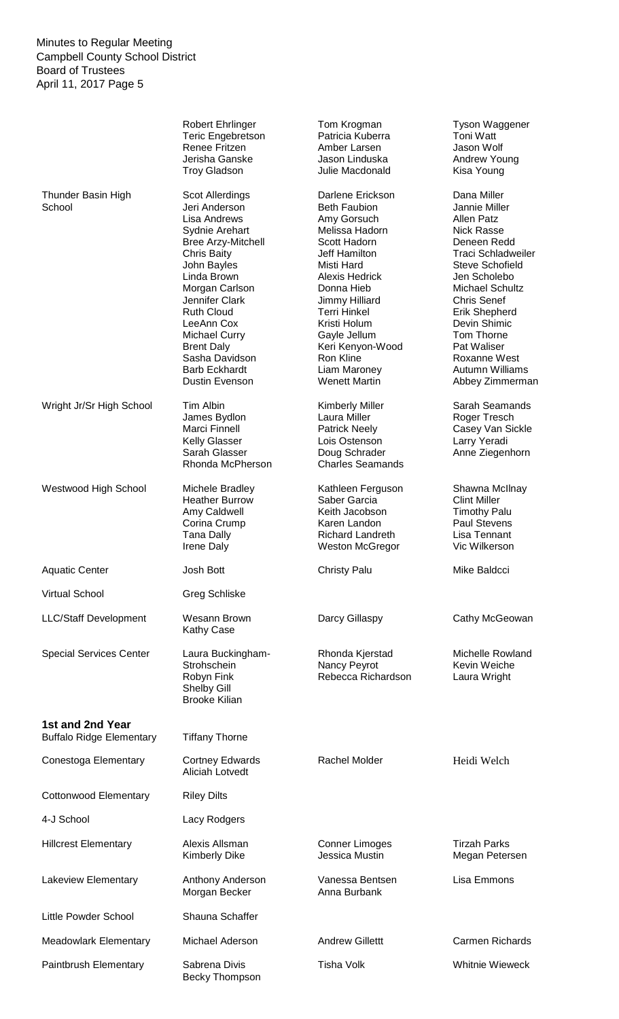|                                                     | <b>Robert Ehrlinger</b><br><b>Teric Engebretson</b><br>Renee Fritzen<br>Jerisha Ganske<br><b>Troy Gladson</b>                                                                                                                                                                                                                       | Tom Krogman<br>Patricia Kuberra<br>Amber Larsen<br>Jason Linduska<br>Julie Macdonald                                                                                                                                                                                                                             | Tyson Waggener<br>Toni Watt<br>Jason Wolf<br>Andrew Young<br>Kisa Young                                                                                                                                                                                                                                                                        |
|-----------------------------------------------------|-------------------------------------------------------------------------------------------------------------------------------------------------------------------------------------------------------------------------------------------------------------------------------------------------------------------------------------|------------------------------------------------------------------------------------------------------------------------------------------------------------------------------------------------------------------------------------------------------------------------------------------------------------------|------------------------------------------------------------------------------------------------------------------------------------------------------------------------------------------------------------------------------------------------------------------------------------------------------------------------------------------------|
| Thunder Basin High<br>School                        | Scot Allerdings<br>Jeri Anderson<br><b>Lisa Andrews</b><br>Sydnie Arehart<br><b>Bree Arzy-Mitchell</b><br>Chris Baity<br>John Bayles<br>Linda Brown<br>Morgan Carlson<br>Jennifer Clark<br><b>Ruth Cloud</b><br>LeeAnn Cox<br><b>Michael Curry</b><br><b>Brent Daly</b><br>Sasha Davidson<br><b>Barb Eckhardt</b><br>Dustin Evenson | Darlene Erickson<br><b>Beth Faubion</b><br>Amy Gorsuch<br>Melissa Hadorn<br>Scott Hadorn<br>Jeff Hamilton<br>Misti Hard<br><b>Alexis Hedrick</b><br>Donna Hieb<br>Jimmy Hilliard<br><b>Terri Hinkel</b><br>Kristi Holum<br>Gayle Jellum<br>Keri Kenyon-Wood<br>Ron Kline<br>Liam Maroney<br><b>Wenett Martin</b> | Dana Miller<br>Jannie Miller<br><b>Allen Patz</b><br><b>Nick Rasse</b><br>Deneen Redd<br><b>Traci Schladweiler</b><br><b>Steve Schofield</b><br>Jen Scholebo<br><b>Michael Schultz</b><br><b>Chris Senef</b><br><b>Erik Shepherd</b><br>Devin Shimic<br>Tom Thorne<br>Pat Waliser<br>Roxanne West<br><b>Autumn Williams</b><br>Abbey Zimmerman |
| Wright Jr/Sr High School                            | Tim Albin<br>James Bydlon<br>Marci Finnell<br><b>Kelly Glasser</b><br>Sarah Glasser<br>Rhonda McPherson                                                                                                                                                                                                                             | Kimberly Miller<br>Laura Miller<br><b>Patrick Neely</b><br>Lois Ostenson<br>Doug Schrader<br><b>Charles Seamands</b>                                                                                                                                                                                             | Sarah Seamands<br>Roger Tresch<br>Casey Van Sickle<br>Larry Yeradi<br>Anne Ziegenhorn                                                                                                                                                                                                                                                          |
| Westwood High School                                | Michele Bradley<br><b>Heather Burrow</b><br>Amy Caldwell<br>Corina Crump<br><b>Tana Dally</b><br>Irene Daly                                                                                                                                                                                                                         | Kathleen Ferguson<br>Saber Garcia<br>Keith Jacobson<br>Karen Landon<br><b>Richard Landreth</b><br><b>Weston McGregor</b>                                                                                                                                                                                         | Shawna McIlnay<br><b>Clint Miller</b><br><b>Timothy Palu</b><br><b>Paul Stevens</b><br>Lisa Tennant<br>Vic Wilkerson                                                                                                                                                                                                                           |
| <b>Aquatic Center</b>                               | Josh Bott                                                                                                                                                                                                                                                                                                                           | <b>Christy Palu</b>                                                                                                                                                                                                                                                                                              | Mike Baldcci                                                                                                                                                                                                                                                                                                                                   |
| <b>Virtual School</b>                               | <b>Greg Schliske</b>                                                                                                                                                                                                                                                                                                                |                                                                                                                                                                                                                                                                                                                  |                                                                                                                                                                                                                                                                                                                                                |
| <b>LLC/Staff Development</b>                        | Wesann Brown<br><b>Kathy Case</b>                                                                                                                                                                                                                                                                                                   | Darcy Gillaspy                                                                                                                                                                                                                                                                                                   | Cathy McGeowan                                                                                                                                                                                                                                                                                                                                 |
| <b>Special Services Center</b>                      | Laura Buckingham-<br>Strohschein<br>Robyn Fink<br>Shelby Gill<br><b>Brooke Kilian</b>                                                                                                                                                                                                                                               | Rhonda Kjerstad<br>Nancy Peyrot<br>Rebecca Richardson                                                                                                                                                                                                                                                            | <b>Michelle Rowland</b><br>Kevin Weiche<br>Laura Wright                                                                                                                                                                                                                                                                                        |
| 1st and 2nd Year<br><b>Buffalo Ridge Elementary</b> | <b>Tiffany Thorne</b>                                                                                                                                                                                                                                                                                                               |                                                                                                                                                                                                                                                                                                                  |                                                                                                                                                                                                                                                                                                                                                |
| Conestoga Elementary                                | <b>Cortney Edwards</b><br><b>Aliciah Lotvedt</b>                                                                                                                                                                                                                                                                                    | Rachel Molder                                                                                                                                                                                                                                                                                                    | Heidi Welch                                                                                                                                                                                                                                                                                                                                    |
| <b>Cottonwood Elementary</b>                        | <b>Riley Dilts</b>                                                                                                                                                                                                                                                                                                                  |                                                                                                                                                                                                                                                                                                                  |                                                                                                                                                                                                                                                                                                                                                |
| 4-J School                                          | Lacy Rodgers                                                                                                                                                                                                                                                                                                                        |                                                                                                                                                                                                                                                                                                                  |                                                                                                                                                                                                                                                                                                                                                |
| <b>Hillcrest Elementary</b>                         | Alexis Allsman<br><b>Kimberly Dike</b>                                                                                                                                                                                                                                                                                              | <b>Conner Limoges</b><br>Jessica Mustin                                                                                                                                                                                                                                                                          | <b>Tirzah Parks</b><br>Megan Petersen                                                                                                                                                                                                                                                                                                          |
| Lakeview Elementary                                 | Anthony Anderson<br>Morgan Becker                                                                                                                                                                                                                                                                                                   | Vanessa Bentsen<br>Anna Burbank                                                                                                                                                                                                                                                                                  | Lisa Emmons                                                                                                                                                                                                                                                                                                                                    |
| Little Powder School                                | Shauna Schaffer                                                                                                                                                                                                                                                                                                                     |                                                                                                                                                                                                                                                                                                                  |                                                                                                                                                                                                                                                                                                                                                |
| <b>Meadowlark Elementary</b>                        | Michael Aderson                                                                                                                                                                                                                                                                                                                     | <b>Andrew Gillettt</b>                                                                                                                                                                                                                                                                                           | <b>Carmen Richards</b>                                                                                                                                                                                                                                                                                                                         |
| Paintbrush Elementary                               | Sabrena Divis<br>Becky Thompson                                                                                                                                                                                                                                                                                                     | <b>Tisha Volk</b>                                                                                                                                                                                                                                                                                                | <b>Whitnie Wieweck</b>                                                                                                                                                                                                                                                                                                                         |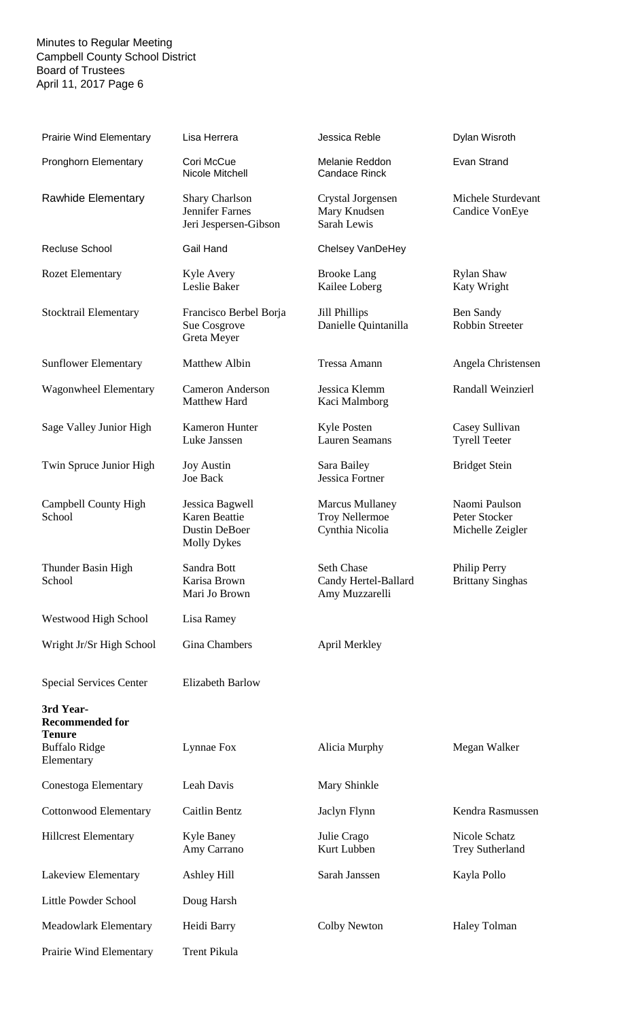| <b>Prairie Wind Elementary</b>                                                             | Lisa Herrera                                                                   | Jessica Reble                                                      | Dylan Wisroth                                      |
|--------------------------------------------------------------------------------------------|--------------------------------------------------------------------------------|--------------------------------------------------------------------|----------------------------------------------------|
| <b>Pronghorn Elementary</b>                                                                | Cori McCue<br>Nicole Mitchell                                                  | Melanie Reddon<br><b>Candace Rinck</b>                             | Evan Strand                                        |
| Rawhide Elementary                                                                         | <b>Shary Charlson</b><br><b>Jennifer Farnes</b><br>Jeri Jespersen-Gibson       | Crystal Jorgensen<br>Mary Knudsen<br>Sarah Lewis                   | Michele Sturdevant<br>Candice VonEye               |
| <b>Recluse School</b>                                                                      | Gail Hand                                                                      | Chelsey VanDeHey                                                   |                                                    |
| <b>Rozet Elementary</b>                                                                    | Kyle Avery<br>Leslie Baker                                                     | <b>Brooke Lang</b><br>Kailee Loberg                                | <b>Rylan Shaw</b><br>Katy Wright                   |
| Stocktrail Elementary                                                                      | Francisco Berbel Borja<br>Sue Cosgrove<br>Greta Meyer                          | Jill Phillips<br>Danielle Quintanilla                              | Ben Sandy<br><b>Robbin Streeter</b>                |
| <b>Sunflower Elementary</b>                                                                | Matthew Albin                                                                  | <b>Tressa Amann</b>                                                | Angela Christensen                                 |
| <b>Wagonwheel Elementary</b>                                                               | <b>Cameron Anderson</b><br>Matthew Hard                                        | Jessica Klemm<br>Kaci Malmborg                                     | Randall Weinzierl                                  |
| Sage Valley Junior High                                                                    | Kameron Hunter<br>Luke Janssen                                                 | Kyle Posten<br><b>Lauren Seamans</b>                               | Casey Sullivan<br><b>Tyrell Teeter</b>             |
| Twin Spruce Junior High                                                                    | <b>Joy Austin</b><br>Joe Back                                                  | Sara Bailey<br>Jessica Fortner                                     | <b>Bridget Stein</b>                               |
| Campbell County High<br>School                                                             | Jessica Bagwell<br>Karen Beattie<br><b>Dustin DeBoer</b><br><b>Molly Dykes</b> | <b>Marcus Mullaney</b><br><b>Troy Nellermoe</b><br>Cynthia Nicolia | Naomi Paulson<br>Peter Stocker<br>Michelle Zeigler |
| Thunder Basin High<br>School                                                               | Sandra Bott<br>Karisa Brown<br>Mari Jo Brown                                   | <b>Seth Chase</b><br>Candy Hertel-Ballard<br>Amy Muzzarelli        | Philip Perry<br><b>Brittany Singhas</b>            |
| Westwood High School                                                                       | Lisa Ramey                                                                     |                                                                    |                                                    |
| Wright Jr/Sr High School                                                                   | Gina Chambers                                                                  | April Merkley                                                      |                                                    |
| <b>Special Services Center</b>                                                             | <b>Elizabeth Barlow</b>                                                        |                                                                    |                                                    |
| 3rd Year-<br><b>Recommended for</b><br><b>Tenure</b><br><b>Buffalo Ridge</b><br>Elementary | Lynnae Fox                                                                     | Alicia Murphy                                                      | Megan Walker                                       |
| Conestoga Elementary                                                                       | Leah Davis                                                                     | Mary Shinkle                                                       |                                                    |
| <b>Cottonwood Elementary</b>                                                               | <b>Caitlin Bentz</b>                                                           | Jaclyn Flynn                                                       | Kendra Rasmussen                                   |
| <b>Hillcrest Elementary</b>                                                                | <b>Kyle Baney</b><br>Amy Carrano                                               | Julie Crago<br>Kurt Lubben                                         | Nicole Schatz<br><b>Trey Sutherland</b>            |
| Lakeview Elementary                                                                        | <b>Ashley Hill</b>                                                             | Sarah Janssen                                                      | Kayla Pollo                                        |
| Little Powder School                                                                       | Doug Harsh                                                                     |                                                                    |                                                    |
| Meadowlark Elementary                                                                      | Heidi Barry                                                                    | <b>Colby Newton</b>                                                | <b>Haley Tolman</b>                                |
| Prairie Wind Elementary                                                                    | <b>Trent Pikula</b>                                                            |                                                                    |                                                    |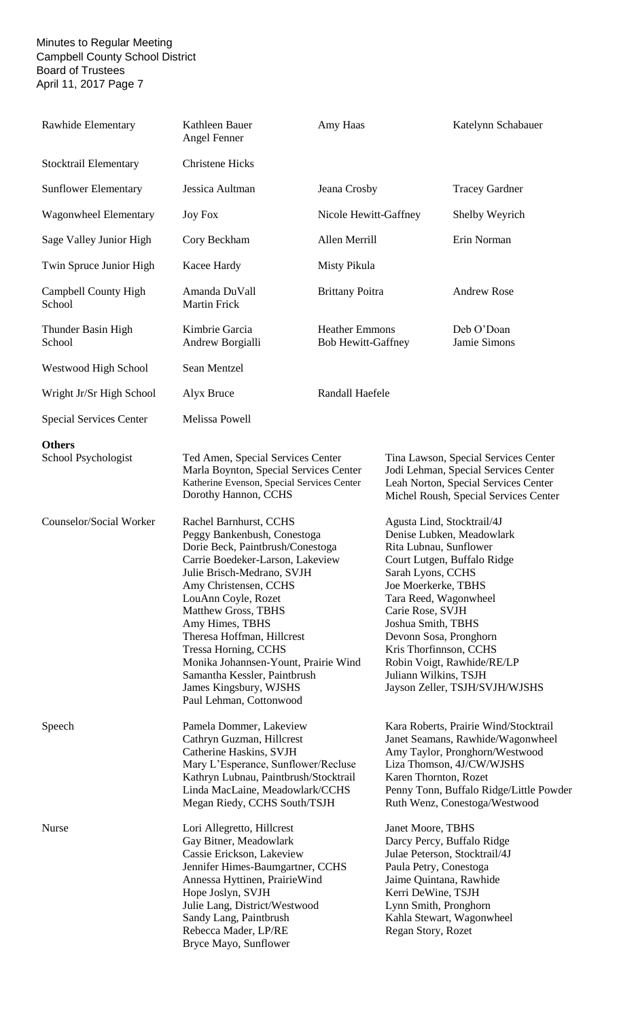| Rawhide Elementary                   | Kathleen Bauer<br>Angel Fenner                                                                                                                                                                                                                                                                                                                                                                                                                                                                                                     | Amy Haas                                           |                                                                                                                                                                                                                                                  | Katelynn Schabauer                                                                                                                                                                                                    |
|--------------------------------------|------------------------------------------------------------------------------------------------------------------------------------------------------------------------------------------------------------------------------------------------------------------------------------------------------------------------------------------------------------------------------------------------------------------------------------------------------------------------------------------------------------------------------------|----------------------------------------------------|--------------------------------------------------------------------------------------------------------------------------------------------------------------------------------------------------------------------------------------------------|-----------------------------------------------------------------------------------------------------------------------------------------------------------------------------------------------------------------------|
| Stocktrail Elementary                | <b>Christene Hicks</b>                                                                                                                                                                                                                                                                                                                                                                                                                                                                                                             |                                                    |                                                                                                                                                                                                                                                  |                                                                                                                                                                                                                       |
| <b>Sunflower Elementary</b>          | Jessica Aultman                                                                                                                                                                                                                                                                                                                                                                                                                                                                                                                    | Jeana Crosby                                       |                                                                                                                                                                                                                                                  | <b>Tracey Gardner</b>                                                                                                                                                                                                 |
| Wagonwheel Elementary                | <b>Joy Fox</b>                                                                                                                                                                                                                                                                                                                                                                                                                                                                                                                     | Nicole Hewitt-Gaffney                              |                                                                                                                                                                                                                                                  | Shelby Weyrich                                                                                                                                                                                                        |
| Sage Valley Junior High              | Cory Beckham                                                                                                                                                                                                                                                                                                                                                                                                                                                                                                                       | Allen Merrill                                      |                                                                                                                                                                                                                                                  | Erin Norman                                                                                                                                                                                                           |
| Twin Spruce Junior High              | Kacee Hardy                                                                                                                                                                                                                                                                                                                                                                                                                                                                                                                        | Misty Pikula                                       |                                                                                                                                                                                                                                                  |                                                                                                                                                                                                                       |
| Campbell County High<br>School       | Amanda DuVall<br><b>Martin Frick</b>                                                                                                                                                                                                                                                                                                                                                                                                                                                                                               | <b>Brittany Poitra</b>                             |                                                                                                                                                                                                                                                  | <b>Andrew Rose</b>                                                                                                                                                                                                    |
| Thunder Basin High<br>School         | Kimbrie Garcia<br>Andrew Borgialli                                                                                                                                                                                                                                                                                                                                                                                                                                                                                                 | <b>Heather Emmons</b><br><b>Bob Hewitt-Gaffney</b> |                                                                                                                                                                                                                                                  | Deb O'Doan<br>Jamie Simons                                                                                                                                                                                            |
| Westwood High School                 | Sean Mentzel                                                                                                                                                                                                                                                                                                                                                                                                                                                                                                                       |                                                    |                                                                                                                                                                                                                                                  |                                                                                                                                                                                                                       |
| Wright Jr/Sr High School             | Alyx Bruce                                                                                                                                                                                                                                                                                                                                                                                                                                                                                                                         | Randall Haefele                                    |                                                                                                                                                                                                                                                  |                                                                                                                                                                                                                       |
| <b>Special Services Center</b>       | Melissa Powell                                                                                                                                                                                                                                                                                                                                                                                                                                                                                                                     |                                                    |                                                                                                                                                                                                                                                  |                                                                                                                                                                                                                       |
| <b>Others</b><br>School Psychologist | Ted Amen, Special Services Center<br>Marla Boynton, Special Services Center<br>Katherine Evenson, Special Services Center<br>Dorothy Hannon, CCHS                                                                                                                                                                                                                                                                                                                                                                                  |                                                    | Tina Lawson, Special Services Center<br>Jodi Lehman, Special Services Center<br>Leah Norton, Special Services Center<br>Michel Roush, Special Services Center                                                                                    |                                                                                                                                                                                                                       |
| Counselor/Social Worker              | Rachel Barnhurst, CCHS<br>Peggy Bankenbush, Conestoga<br>Dorie Beck, Paintbrush/Conestoga<br>Carrie Boedeker-Larson, Lakeview<br>Julie Brisch-Medrano, SVJH<br>Amy Christensen, CCHS<br>LouAnn Coyle, Rozet<br>Matthew Gross, TBHS<br>Amy Himes, TBHS<br>Theresa Hoffman, Hillcrest<br>Tressa Horning, CCHS<br>Monika Johannsen-Yount, Prairie Wind<br>Samantha Kessler, Paintbrush<br>James Kingsbury, WJSHS<br>Paul Lehman, Cottonwood                                                                                           |                                                    | Agusta Lind, Stocktrail/4J<br>Rita Lubnau, Sunflower<br>Sarah Lyons, CCHS<br>Joe Moerkerke, TBHS<br>Tara Reed, Wagonwheel<br>Carie Rose, SVJH<br>Joshua Smith, TBHS<br>Devonn Sosa, Pronghorn<br>Kris Thorfinnson, CCHS<br>Juliann Wilkins, TSJH | Denise Lubken, Meadowlark<br>Court Lutgen, Buffalo Ridge<br>Robin Voigt, Rawhide/RE/LP<br>Jayson Zeller, TSJH/SVJH/WJSHS                                                                                              |
| Speech                               | Pamela Dommer, Lakeview<br>Cathryn Guzman, Hillcrest<br>Catherine Haskins, SVJH<br>Mary L'Esperance, Sunflower/Recluse<br>Kathryn Lubnau, Paintbrush/Stocktrail<br>Linda MacLaine, Meadowlark/CCHS<br>Megan Riedy, CCHS South/TSJH                                                                                                                                                                                                                                                                                                 |                                                    | Karen Thornton, Rozet                                                                                                                                                                                                                            | Kara Roberts, Prairie Wind/Stocktrail<br>Janet Seamans, Rawhide/Wagonwheel<br>Amy Taylor, Pronghorn/Westwood<br>Liza Thomson, 4J/CW/WJSHS<br>Penny Tonn, Buffalo Ridge/Little Powder<br>Ruth Wenz, Conestoga/Westwood |
| Nurse                                | Lori Allegretto, Hillcrest<br>Janet Moore, TBHS<br>Darcy Percy, Buffalo Ridge<br>Gay Bitner, Meadowlark<br>Cassie Erickson, Lakeview<br>Julae Peterson, Stocktrail/4J<br>Paula Petry, Conestoga<br>Jennifer Himes-Baumgartner, CCHS<br>Annessa Hyttinen, PrairieWind<br>Jaime Quintana, Rawhide<br>Hope Joslyn, SVJH<br>Kerri DeWine, TSJH<br>Julie Lang, District/Westwood<br>Lynn Smith, Pronghorn<br>Sandy Lang, Paintbrush<br>Kahla Stewart, Wagonwheel<br>Rebecca Mader, LP/RE<br>Regan Story, Rozet<br>Bryce Mayo, Sunflower |                                                    |                                                                                                                                                                                                                                                  |                                                                                                                                                                                                                       |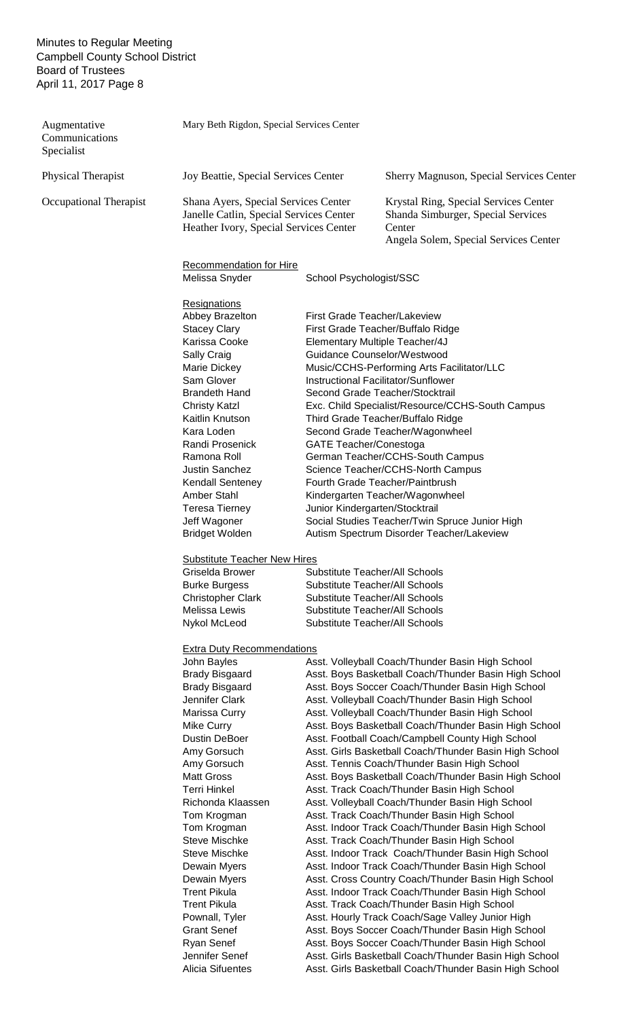| Augmentative<br>Communications<br>Specialist | Mary Beth Rigdon, Special Services Center                                                                                                                                                                                                                                                                                                                                                                                                                                                                                   |                               |                                                                                                                                                                                                                                                                                                                                                                                                                                                                                                                                                                                                                                                                                                                                                                                                                                                                                                                                                                                                                                                                                                                                                                                                                                                                                                                                                                         |
|----------------------------------------------|-----------------------------------------------------------------------------------------------------------------------------------------------------------------------------------------------------------------------------------------------------------------------------------------------------------------------------------------------------------------------------------------------------------------------------------------------------------------------------------------------------------------------------|-------------------------------|-------------------------------------------------------------------------------------------------------------------------------------------------------------------------------------------------------------------------------------------------------------------------------------------------------------------------------------------------------------------------------------------------------------------------------------------------------------------------------------------------------------------------------------------------------------------------------------------------------------------------------------------------------------------------------------------------------------------------------------------------------------------------------------------------------------------------------------------------------------------------------------------------------------------------------------------------------------------------------------------------------------------------------------------------------------------------------------------------------------------------------------------------------------------------------------------------------------------------------------------------------------------------------------------------------------------------------------------------------------------------|
| Physical Therapist                           | Joy Beattie, Special Services Center                                                                                                                                                                                                                                                                                                                                                                                                                                                                                        |                               | <b>Sherry Magnuson, Special Services Center</b>                                                                                                                                                                                                                                                                                                                                                                                                                                                                                                                                                                                                                                                                                                                                                                                                                                                                                                                                                                                                                                                                                                                                                                                                                                                                                                                         |
| Occupational Therapist                       | Shana Ayers, Special Services Center<br>Janelle Catlin, Special Services Center<br>Heather Ivory, Special Services Center                                                                                                                                                                                                                                                                                                                                                                                                   |                               | Krystal Ring, Special Services Center<br>Shanda Simburger, Special Services<br>Center<br>Angela Solem, Special Services Center                                                                                                                                                                                                                                                                                                                                                                                                                                                                                                                                                                                                                                                                                                                                                                                                                                                                                                                                                                                                                                                                                                                                                                                                                                          |
|                                              | <b>Recommendation for Hire</b><br>Melissa Snyder                                                                                                                                                                                                                                                                                                                                                                                                                                                                            | School Psychologist/SSC       |                                                                                                                                                                                                                                                                                                                                                                                                                                                                                                                                                                                                                                                                                                                                                                                                                                                                                                                                                                                                                                                                                                                                                                                                                                                                                                                                                                         |
|                                              | Resignations<br>Abbey Brazelton<br><b>Stacey Clary</b><br>Karissa Cooke<br>Sally Craig<br>Marie Dickey<br>Sam Glover<br><b>Brandeth Hand</b><br><b>Christy Katzl</b><br>Kaitlin Knutson<br>Kara Loden<br>Randi Prosenick<br>Ramona Roll<br>Justin Sanchez<br>Kendall Senteney<br>Amber Stahl<br>Teresa Tierney<br>Jeff Wagoner<br><b>Bridget Wolden</b>                                                                                                                                                                     | <b>GATE Teacher/Conestoga</b> | First Grade Teacher/Lakeview<br>First Grade Teacher/Buffalo Ridge<br>Elementary Multiple Teacher/4J<br>Guidance Counselor/Westwood<br>Music/CCHS-Performing Arts Facilitator/LLC<br>Instructional Facilitator/Sunflower<br>Second Grade Teacher/Stocktrail<br>Exc. Child Specialist/Resource/CCHS-South Campus<br>Third Grade Teacher/Buffalo Ridge<br>Second Grade Teacher/Wagonwheel<br>German Teacher/CCHS-South Campus<br>Science Teacher/CCHS-North Campus<br>Fourth Grade Teacher/Paintbrush<br>Kindergarten Teacher/Wagonwheel<br>Junior Kindergarten/Stocktrail<br>Social Studies Teacher/Twin Spruce Junior High<br>Autism Spectrum Disorder Teacher/Lakeview                                                                                                                                                                                                                                                                                                                                                                                                                                                                                                                                                                                                                                                                                                  |
|                                              | <b>Substitute Teacher New Hires</b><br>Griselda Brower<br><b>Burke Burgess</b><br><b>Christopher Clark</b><br>Melissa Lewis<br>Nykol McLeod                                                                                                                                                                                                                                                                                                                                                                                 |                               | <b>Substitute Teacher/All Schools</b><br>Substitute Teacher/All Schools<br><b>Substitute Teacher/All Schools</b><br><b>Substitute Teacher/All Schools</b><br><b>Substitute Teacher/All Schools</b>                                                                                                                                                                                                                                                                                                                                                                                                                                                                                                                                                                                                                                                                                                                                                                                                                                                                                                                                                                                                                                                                                                                                                                      |
|                                              | <b>Extra Duty Recommendations</b><br>John Bayles<br><b>Brady Bisgaard</b><br><b>Brady Bisgaard</b><br>Jennifer Clark<br>Marissa Curry<br>Mike Curry<br>Dustin DeBoer<br>Amy Gorsuch<br>Amy Gorsuch<br><b>Matt Gross</b><br><b>Terri Hinkel</b><br>Richonda Klaassen<br>Tom Krogman<br>Tom Krogman<br><b>Steve Mischke</b><br><b>Steve Mischke</b><br>Dewain Myers<br>Dewain Myers<br><b>Trent Pikula</b><br><b>Trent Pikula</b><br>Pownall, Tyler<br><b>Grant Senef</b><br>Ryan Senef<br>Jennifer Senef<br>Alicia Sifuentes |                               | Asst. Volleyball Coach/Thunder Basin High School<br>Asst. Boys Basketball Coach/Thunder Basin High School<br>Asst. Boys Soccer Coach/Thunder Basin High School<br>Asst. Volleyball Coach/Thunder Basin High School<br>Asst. Volleyball Coach/Thunder Basin High School<br>Asst. Boys Basketball Coach/Thunder Basin High School<br>Asst. Football Coach/Campbell County High School<br>Asst. Girls Basketball Coach/Thunder Basin High School<br>Asst. Tennis Coach/Thunder Basin High School<br>Asst. Boys Basketball Coach/Thunder Basin High School<br>Asst. Track Coach/Thunder Basin High School<br>Asst. Volleyball Coach/Thunder Basin High School<br>Asst. Track Coach/Thunder Basin High School<br>Asst. Indoor Track Coach/Thunder Basin High School<br>Asst. Track Coach/Thunder Basin High School<br>Asst. Indoor Track Coach/Thunder Basin High School<br>Asst. Indoor Track Coach/Thunder Basin High School<br>Asst. Cross Country Coach/Thunder Basin High School<br>Asst. Indoor Track Coach/Thunder Basin High School<br>Asst. Track Coach/Thunder Basin High School<br>Asst. Hourly Track Coach/Sage Valley Junior High<br>Asst. Boys Soccer Coach/Thunder Basin High School<br>Asst. Boys Soccer Coach/Thunder Basin High School<br>Asst. Girls Basketball Coach/Thunder Basin High School<br>Asst. Girls Basketball Coach/Thunder Basin High School |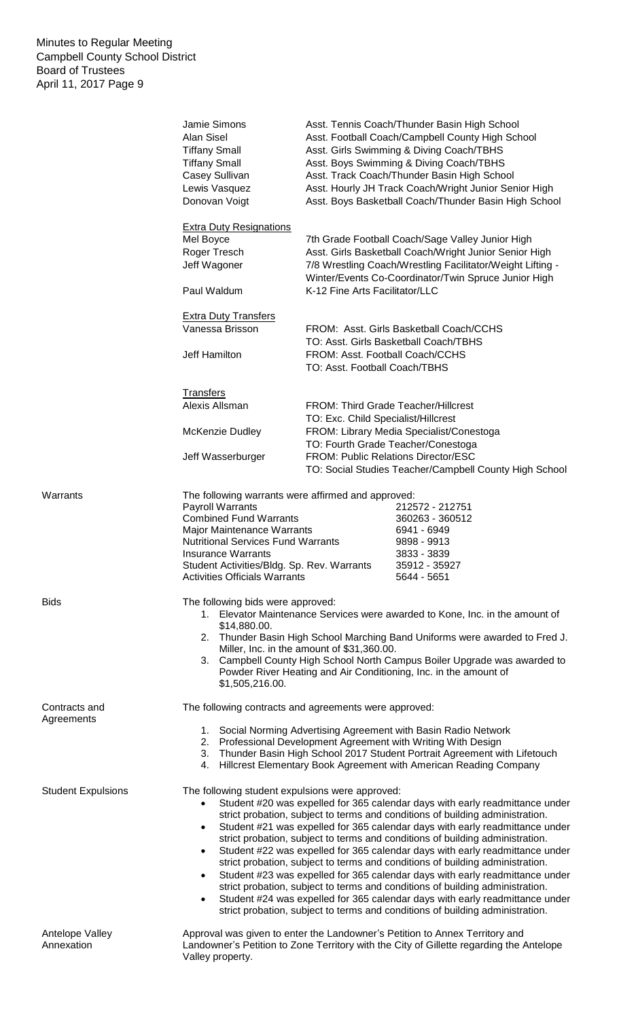|                               | Jamie Simons<br>Alan Sisel<br><b>Tiffany Small</b><br><b>Tiffany Small</b><br>Casey Sullivan<br>Lewis Vasquez<br>Donovan Voigt                                                                                                                                                                                                                     | Asst. Tennis Coach/Thunder Basin High School<br>Asst. Football Coach/Campbell County High School<br>Asst. Girls Swimming & Diving Coach/TBHS<br>Asst. Boys Swimming & Diving Coach/TBHS<br>Asst. Track Coach/Thunder Basin High School<br>Asst. Hourly JH Track Coach/Wright Junior Senior High<br>Asst. Boys Basketball Coach/Thunder Basin High School                                                                                                                                                                                                                                                                                                                                                                                                                                                                          |
|-------------------------------|----------------------------------------------------------------------------------------------------------------------------------------------------------------------------------------------------------------------------------------------------------------------------------------------------------------------------------------------------|-----------------------------------------------------------------------------------------------------------------------------------------------------------------------------------------------------------------------------------------------------------------------------------------------------------------------------------------------------------------------------------------------------------------------------------------------------------------------------------------------------------------------------------------------------------------------------------------------------------------------------------------------------------------------------------------------------------------------------------------------------------------------------------------------------------------------------------|
|                               | <b>Extra Duty Resignations</b><br>Mel Boyce<br>Roger Tresch<br>Jeff Wagoner<br>Paul Waldum                                                                                                                                                                                                                                                         | 7th Grade Football Coach/Sage Valley Junior High<br>Asst. Girls Basketball Coach/Wright Junior Senior High<br>7/8 Wrestling Coach/Wrestling Facilitator/Weight Lifting -<br>Winter/Events Co-Coordinator/Twin Spruce Junior High<br>K-12 Fine Arts Facilitator/LLC                                                                                                                                                                                                                                                                                                                                                                                                                                                                                                                                                                |
|                               | <b>Extra Duty Transfers</b><br>Vanessa Brisson<br>Jeff Hamilton                                                                                                                                                                                                                                                                                    | FROM: Asst. Girls Basketball Coach/CCHS<br>TO: Asst. Girls Basketball Coach/TBHS<br>FROM: Asst. Football Coach/CCHS<br>TO: Asst. Football Coach/TBHS                                                                                                                                                                                                                                                                                                                                                                                                                                                                                                                                                                                                                                                                              |
|                               | <b>Transfers</b><br>Alexis Allsman<br><b>McKenzie Dudley</b><br>Jeff Wasserburger                                                                                                                                                                                                                                                                  | FROM: Third Grade Teacher/Hillcrest<br>TO: Exc. Child Specialist/Hillcrest<br>FROM: Library Media Specialist/Conestoga<br>TO: Fourth Grade Teacher/Conestoga<br><b>FROM: Public Relations Director/ESC</b><br>TO: Social Studies Teacher/Campbell County High School                                                                                                                                                                                                                                                                                                                                                                                                                                                                                                                                                              |
| Warrants                      | The following warrants were affirmed and approved:<br><b>Payroll Warrants</b><br><b>Combined Fund Warrants</b><br>Major Maintenance Warrants<br><b>Nutritional Services Fund Warrants</b><br><b>Insurance Warrants</b><br>Student Activities/Bldg. Sp. Rev. Warrants<br><b>Activities Officials Warrants</b>                                       | 212572 - 212751<br>360263 - 360512<br>6941 - 6949<br>9898 - 9913<br>3833 - 3839<br>35912 - 35927<br>5644 - 5651                                                                                                                                                                                                                                                                                                                                                                                                                                                                                                                                                                                                                                                                                                                   |
| <b>Bids</b>                   | The following bids were approved:<br>\$14,880.00.<br>\$1,505,216.00.                                                                                                                                                                                                                                                                               | 1. Elevator Maintenance Services were awarded to Kone, Inc. in the amount of<br>2. Thunder Basin High School Marching Band Uniforms were awarded to Fred J.<br>Miller, Inc. in the amount of \$31,360.00.<br>3. Campbell County High School North Campus Boiler Upgrade was awarded to<br>Powder River Heating and Air Conditioning, Inc. in the amount of                                                                                                                                                                                                                                                                                                                                                                                                                                                                        |
| Contracts and<br>Agreements   | The following contracts and agreements were approved:<br>1. Social Norming Advertising Agreement with Basin Radio Network<br>2. Professional Development Agreement with Writing With Design<br>3. Thunder Basin High School 2017 Student Portrait Agreement with Lifetouch<br>4. Hillcrest Elementary Book Agreement with American Reading Company |                                                                                                                                                                                                                                                                                                                                                                                                                                                                                                                                                                                                                                                                                                                                                                                                                                   |
| <b>Student Expulsions</b>     | The following student expulsions were approved:<br>$\bullet$<br>$\bullet$<br>$\bullet$<br>$\bullet$                                                                                                                                                                                                                                                | Student #20 was expelled for 365 calendar days with early readmittance under<br>strict probation, subject to terms and conditions of building administration.<br>Student #21 was expelled for 365 calendar days with early readmittance under<br>strict probation, subject to terms and conditions of building administration.<br>Student #22 was expelled for 365 calendar days with early readmittance under<br>strict probation, subject to terms and conditions of building administration.<br>Student #23 was expelled for 365 calendar days with early readmittance under<br>strict probation, subject to terms and conditions of building administration.<br>Student #24 was expelled for 365 calendar days with early readmittance under<br>strict probation, subject to terms and conditions of building administration. |
| Antelope Valley<br>Annexation | Valley property.                                                                                                                                                                                                                                                                                                                                   | Approval was given to enter the Landowner's Petition to Annex Territory and<br>Landowner's Petition to Zone Territory with the City of Gillette regarding the Antelope                                                                                                                                                                                                                                                                                                                                                                                                                                                                                                                                                                                                                                                            |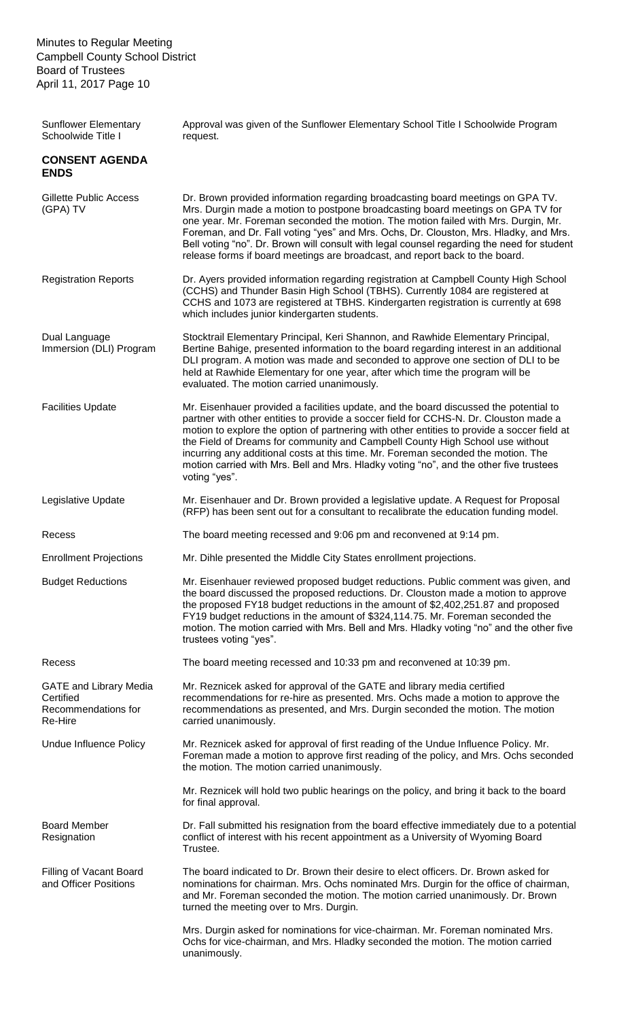| <b>Sunflower Elementary</b><br>Schoolwide Title I                            | Approval was given of the Sunflower Elementary School Title I Schoolwide Program<br>request.                                                                                                                                                                                                                                                                                                                                                                                                                                                                   |
|------------------------------------------------------------------------------|----------------------------------------------------------------------------------------------------------------------------------------------------------------------------------------------------------------------------------------------------------------------------------------------------------------------------------------------------------------------------------------------------------------------------------------------------------------------------------------------------------------------------------------------------------------|
| <b>CONSENT AGENDA</b><br><b>ENDS</b>                                         |                                                                                                                                                                                                                                                                                                                                                                                                                                                                                                                                                                |
| <b>Gillette Public Access</b><br>(GPA) TV                                    | Dr. Brown provided information regarding broadcasting board meetings on GPA TV.<br>Mrs. Durgin made a motion to postpone broadcasting board meetings on GPA TV for<br>one year. Mr. Foreman seconded the motion. The motion failed with Mrs. Durgin, Mr.<br>Foreman, and Dr. Fall voting "yes" and Mrs. Ochs, Dr. Clouston, Mrs. Hladky, and Mrs.<br>Bell voting "no". Dr. Brown will consult with legal counsel regarding the need for student<br>release forms if board meetings are broadcast, and report back to the board.                                |
| <b>Registration Reports</b>                                                  | Dr. Ayers provided information regarding registration at Campbell County High School<br>(CCHS) and Thunder Basin High School (TBHS). Currently 1084 are registered at<br>CCHS and 1073 are registered at TBHS. Kindergarten registration is currently at 698<br>which includes junior kindergarten students.                                                                                                                                                                                                                                                   |
| Dual Language<br>Immersion (DLI) Program                                     | Stocktrail Elementary Principal, Keri Shannon, and Rawhide Elementary Principal,<br>Bertine Bahige, presented information to the board regarding interest in an additional<br>DLI program. A motion was made and seconded to approve one section of DLI to be<br>held at Rawhide Elementary for one year, after which time the program will be<br>evaluated. The motion carried unanimously.                                                                                                                                                                   |
| <b>Facilities Update</b>                                                     | Mr. Eisenhauer provided a facilities update, and the board discussed the potential to<br>partner with other entities to provide a soccer field for CCHS-N. Dr. Clouston made a<br>motion to explore the option of partnering with other entities to provide a soccer field at<br>the Field of Dreams for community and Campbell County High School use without<br>incurring any additional costs at this time. Mr. Foreman seconded the motion. The<br>motion carried with Mrs. Bell and Mrs. Hladky voting "no", and the other five trustees<br>voting "yes". |
| Legislative Update                                                           | Mr. Eisenhauer and Dr. Brown provided a legislative update. A Request for Proposal<br>(RFP) has been sent out for a consultant to recalibrate the education funding model.                                                                                                                                                                                                                                                                                                                                                                                     |
| Recess                                                                       | The board meeting recessed and 9:06 pm and reconvened at 9:14 pm.                                                                                                                                                                                                                                                                                                                                                                                                                                                                                              |
| <b>Enrollment Projections</b>                                                | Mr. Dihle presented the Middle City States enrollment projections.                                                                                                                                                                                                                                                                                                                                                                                                                                                                                             |
| <b>Budget Reductions</b>                                                     | Mr. Eisenhauer reviewed proposed budget reductions. Public comment was given, and<br>the board discussed the proposed reductions. Dr. Clouston made a motion to approve<br>the proposed FY18 budget reductions in the amount of \$2,402,251.87 and proposed<br>FY19 budget reductions in the amount of \$324,114.75. Mr. Foreman seconded the<br>motion. The motion carried with Mrs. Bell and Mrs. Hladky voting "no" and the other five<br>trustees voting "yes".                                                                                            |
| Recess                                                                       | The board meeting recessed and 10:33 pm and reconvened at 10:39 pm.                                                                                                                                                                                                                                                                                                                                                                                                                                                                                            |
| <b>GATE and Library Media</b><br>Certified<br>Recommendations for<br>Re-Hire | Mr. Reznicek asked for approval of the GATE and library media certified<br>recommendations for re-hire as presented. Mrs. Ochs made a motion to approve the<br>recommendations as presented, and Mrs. Durgin seconded the motion. The motion<br>carried unanimously.                                                                                                                                                                                                                                                                                           |
| Undue Influence Policy                                                       | Mr. Reznicek asked for approval of first reading of the Undue Influence Policy. Mr.<br>Foreman made a motion to approve first reading of the policy, and Mrs. Ochs seconded<br>the motion. The motion carried unanimously.                                                                                                                                                                                                                                                                                                                                     |
|                                                                              | Mr. Reznicek will hold two public hearings on the policy, and bring it back to the board<br>for final approval.                                                                                                                                                                                                                                                                                                                                                                                                                                                |
| <b>Board Member</b><br>Resignation                                           | Dr. Fall submitted his resignation from the board effective immediately due to a potential<br>conflict of interest with his recent appointment as a University of Wyoming Board<br>Trustee.                                                                                                                                                                                                                                                                                                                                                                    |
| Filling of Vacant Board<br>and Officer Positions                             | The board indicated to Dr. Brown their desire to elect officers. Dr. Brown asked for<br>nominations for chairman. Mrs. Ochs nominated Mrs. Durgin for the office of chairman,<br>and Mr. Foreman seconded the motion. The motion carried unanimously. Dr. Brown<br>turned the meeting over to Mrs. Durgin.                                                                                                                                                                                                                                                     |
|                                                                              | Mrs. Durgin asked for nominations for vice-chairman. Mr. Foreman nominated Mrs.<br>Ochs for vice-chairman, and Mrs. Hladky seconded the motion. The motion carried<br>unanimously.                                                                                                                                                                                                                                                                                                                                                                             |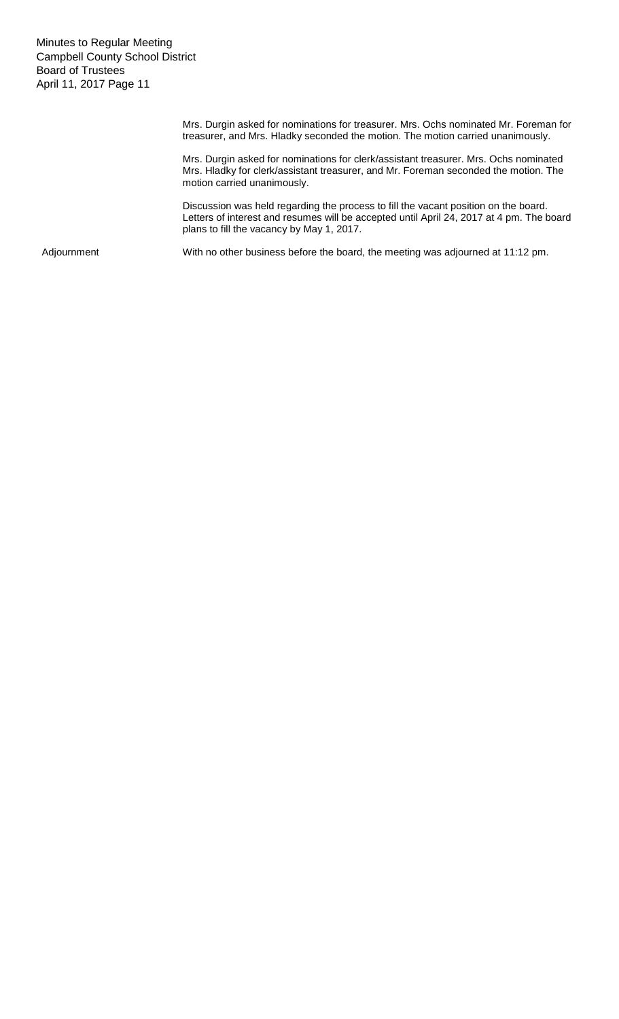> Mrs. Durgin asked for nominations for treasurer. Mrs. Ochs nominated Mr. Foreman for treasurer, and Mrs. Hladky seconded the motion. The motion carried unanimously.

Mrs. Durgin asked for nominations for clerk/assistant treasurer. Mrs. Ochs nominated Mrs. Hladky for clerk/assistant treasurer, and Mr. Foreman seconded the motion. The motion carried unanimously.

Discussion was held regarding the process to fill the vacant position on the board. Letters of interest and resumes will be accepted until April 24, 2017 at 4 pm. The board plans to fill the vacancy by May 1, 2017.

Adjournment With no other business before the board, the meeting was adjourned at 11:12 pm.